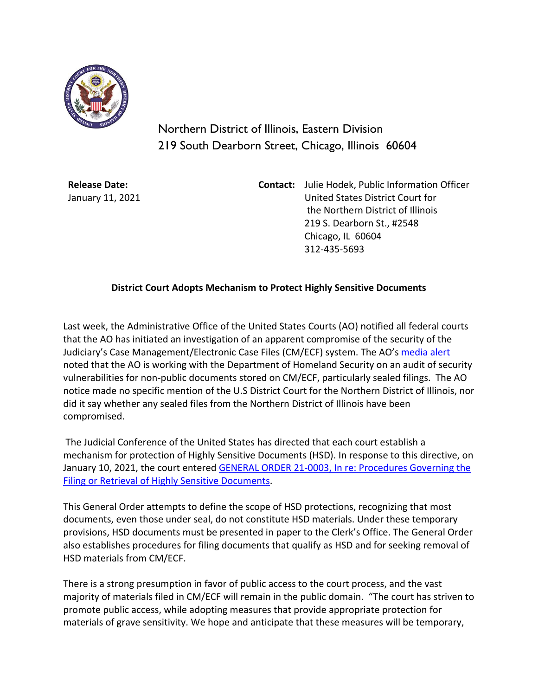

Northern District of Illinois, Eastern Division 219 South Dearborn Street, Chicago, Illinois 60604

**Release Date:** January 11, 2021 **Contact:** Julie Hodek, Public Information Officer United States District Court for the Northern District of Illinois 219 S. Dearborn St., #2548 Chicago, IL 60604 312-435-5693

## **District Court Adopts Mechanism to Protect Highly Sensitive Documents**

Last week, the Administrative Office of the United States Courts (AO) notified all federal courts that the AO has initiated an investigation of an apparent compromise of the security of the Judiciary's Case Management/Electronic Case Files (CM/ECF) system. The AO's [media alert](https://www.uscourts.gov/news/2021/01/06/judiciary-addresses-cybersecurity-breach-extra-safeguards-protect-sensitive-court) noted that the AO is working with the Department of Homeland Security on an audit of security vulnerabilities for non-public documents stored on CM/ECF, particularly sealed filings. The AO notice made no specific mention of the U.S District Court for the Northern District of Illinois, nor did it say whether any sealed files from the Northern District of Illinois have been compromised.

The Judicial Conference of the United States has directed that each court establish a mechanism for protection of Highly Sensitive Documents (HSD). In response to this directive, on January 10, 2021, the court entered **GENERAL ORDER 21-0003**, In re: Procedures Governing the [Filing or Retrieval of Highly Sensitive Documents.](https://www.ilnd.uscourts.gov/_assets/_documents/_forms/_clerksoffice/rules/admin/pdf-orders/General%20Order%2021-003%20FINAL_.pdf)

This General Order attempts to define the scope of HSD protections, recognizing that most documents, even those under seal, do not constitute HSD materials. Under these temporary provisions, HSD documents must be presented in paper to the Clerk's Office. The General Order also establishes procedures for filing documents that qualify as HSD and for seeking removal of HSD materials from CM/ECF.

There is a strong presumption in favor of public access to the court process, and the vast majority of materials filed in CM/ECF will remain in the public domain. "The court has striven to promote public access, while adopting measures that provide appropriate protection for materials of grave sensitivity. We hope and anticipate that these measures will be temporary,